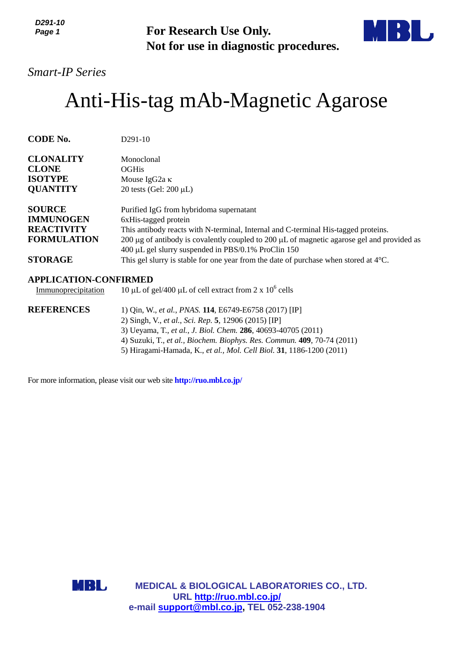*D291-10 Page 1*

**For Research Use Only. Not for use in diagnostic procedures.**



## *Smart-IP Series*

# Anti-His-tag mAb-Magnetic Agarose

| <b>CODE No.</b>    | $D291-10$                                                                                                                                                   |
|--------------------|-------------------------------------------------------------------------------------------------------------------------------------------------------------|
| <b>CLONALITY</b>   | Monoclonal                                                                                                                                                  |
| <b>CLONE</b>       | <b>OGHis</b>                                                                                                                                                |
| <b>ISOTYPE</b>     | Mouse IgG2a $\kappa$                                                                                                                                        |
| <b>QUANTITY</b>    | 20 tests (Gel: $200 \mu L$ )                                                                                                                                |
| <b>SOURCE</b>      | Purified IgG from hybridoma supernatant                                                                                                                     |
| <b>IMMUNOGEN</b>   | 6xHis-tagged protein                                                                                                                                        |
| <b>REACTIVITY</b>  | This antibody reacts with N-terminal, Internal and C-terminal His-tagged proteins.                                                                          |
| <b>FORMULATION</b> | 200 $\mu$ g of antibody is covalently coupled to 200 $\mu$ L of magnetic agarose gel and provided as<br>400 μL gel slurry suspended in PBS/0.1% ProClin 150 |
| <b>STORAGE</b>     | This gel slurry is stable for one year from the date of purchase when stored at $4^{\circ}C$ .                                                              |

## **APPLICATION-CONFIRMED**

Immunoprecipitation 10  $\mu$ L of gel/400  $\mu$ L of cell extract from 2 x 10<sup>6</sup> cells

| <b>REFERENCES</b> | 1) Qin, W., et al., PNAS. 114, E6749-E6758 (2017) [IP]                  |
|-------------------|-------------------------------------------------------------------------|
|                   | 2) Singh, V., et al., Sci. Rep. 5, 12906 (2015) [IP]                    |
|                   | 3) Ueyama, T., et al., J. Biol. Chem. 286, 40693-40705 (2011)           |
|                   | 4) Suzuki, T., et al., Biochem. Biophys. Res. Commun. 409, 70-74 (2011) |
|                   | 5) Hiragami-Hamada, K., et al., Mol. Cell Biol. 31, 1186-1200 (2011)    |
|                   |                                                                         |

For more information, please visit our web site **http://ruo.mbl.co.jp/**

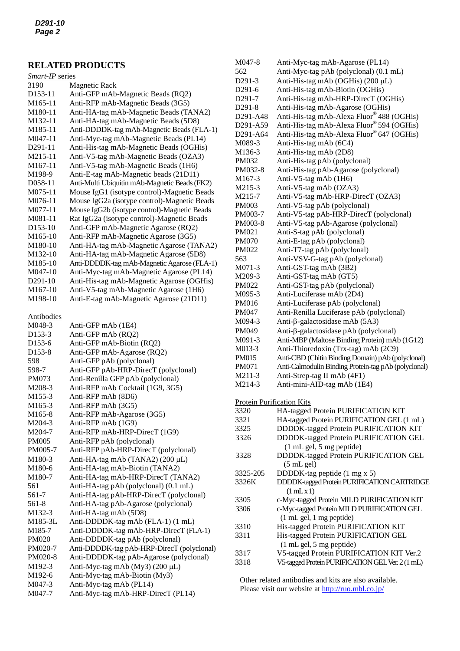## **RELATED PRODUCTS**

| Smart-IP series      |                                               |  |
|----------------------|-----------------------------------------------|--|
| 3190                 | Magnetic Rack                                 |  |
| D <sub>153</sub> -11 | Anti-GFP mAb-Magnetic Beads (RQ2)             |  |
| M <sub>165-11</sub>  | Anti-RFP mAb-Magnetic Beads (3G5)             |  |
| M180-11              | Anti-HA-tag mAb-Magnetic Beads (TANA2)        |  |
| M132-11              | Anti-HA-tag mAb-Magnetic Beads (5D8)          |  |
| M <sub>1</sub> 85-11 | Anti-DDDDK-tag mAb-Magnetic Beads (FLA-1)     |  |
| $M047-11$            | Anti-Myc-tag mAb-Magnetic Beads (PL14)        |  |
| D <sub>291</sub> -11 | Anti-His-tag mAb-Magnetic Beads (OGHis)       |  |
| M215-11              | Anti-V5-tag mAb-Magnetic Beads (OZA3)         |  |
| M <sub>167-11</sub>  | Anti-V5-tag mAb-Magnetic Beads (1H6)          |  |
| M <sub>198-9</sub>   | Anti-E-tag mAb-Magnetic beads (21D11)         |  |
| D <sub>058</sub> -11 | Anti-Multi Ubiquitin mAb-Magnetic Beads (FK2) |  |
| M075-11              | Mouse IgG1 (isotype control)-Magnetic Beads   |  |
| M076-11              | Mouse IgG2a (isotype control)-Magnetic Beads  |  |
| M077-11              | Mouse IgG2b (isotype control)-Magnetic Beads  |  |
| M081-11              | Rat IgG2a (isotype control)-Magnetic Beads    |  |
| D <sub>153</sub> -10 | Anti-GFP mAb-Magnetic Agarose (RQ2)           |  |
| M <sub>165-10</sub>  | Anti-RFP mAb-Magnetic Agarose (3G5)           |  |
| M180-10              | Anti-HA-tag mAb-Magnetic Agarose (TANA2)      |  |
| M132-10              | Anti-HA-tag mAb-Magnetic Agarose (5D8)        |  |
| M <sub>1</sub> 85-10 | Anti-DDDDK-tag mAb-Magnetic Agarose (FLA-1)   |  |
| M047-10              | Anti-Myc-tag mAb-Magnetic Agarose (PL14)      |  |
| D <sub>291</sub> -10 | Anti-His-tag mAb-Magnetic Agarose (OGHis)     |  |
| M <sub>167</sub> -10 | Anti-V5-tag mAb-Magnetic Agarose (1H6)        |  |
| M <sub>198</sub> -10 | Anti-E-tag mAb-Magnetic Agarose (21D11)       |  |
|                      |                                               |  |

Antibodies

| <br>$\ddot{\phantom{0}}$ |                                            |
|--------------------------|--------------------------------------------|
| M048-3                   | Anti-GFP mAb (1E4)                         |
| D <sub>153</sub> -3      | Anti-GFP mAb (RQ2)                         |
| D <sub>153</sub> -6      | Anti-GFP mAb-Biotin (RQ2)                  |
| D <sub>153</sub> -8      | Anti-GFP mAb-Agarose (RQ2)                 |
| 598                      | Anti-GFP pAb (polyclonal)                  |
| 598-7                    | Anti-GFP pAb-HRP-DirecT (polyclonal)       |
| PM073                    | Anti-Renilla GFP pAb (polyclonal)          |
| M208-3                   | Anti-RFP mAb Cocktail (1G9, 3G5)           |
| M <sub>155</sub> -3      | Anti-RFP mAb (8D6)                         |
| M <sub>165</sub> -3      | Anti-RFP mAb (3G5)                         |
| M <sub>165-8</sub>       | Anti-RFP mAb-Agarose (3G5)                 |
| M204-3                   | Anti-RFP mAb (1G9)                         |
| M204-7                   | Anti-RFP mAb-HRP-DirecT (1G9)              |
| <b>PM005</b>             | Anti-RFP pAb (polyclonal)                  |
| PM005-7                  | Anti-RFP pAb-HRP-DirecT (polyclonal)       |
| M180-3                   | Anti-HA-tag mAb (TANA2) (200 µL)           |
| M <sub>180-6</sub>       | Anti-HA-tag mAb-Biotin (TANA2)             |
| M180-7                   | Anti-HA-tag mAb-HRP-DirecT (TANA2)         |
| 561                      | Anti-HA-tag pAb (polyclonal) (0.1 mL)      |
| 561-7                    | Anti-HA-tag pAb-HRP-DirecT (polyclonal)    |
| 561-8                    | Anti-HA-tag pAb-Agarose (polyclonal)       |
| M132-3                   | Anti-HA-tag mAb (5D8)                      |
| M185-3L                  | Anti-DDDDK-tag mAb (FLA-1) (1 mL)          |
| M185-7                   | Anti-DDDDK-tag mAb-HRP-DirecT (FLA-1)      |
| <b>PM020</b>             | Anti-DDDDK-tag pAb (polyclonal)            |
| PM020-7                  | Anti-DDDDK-tag pAb-HRP-DirecT (polyclonal) |
| PM020-8                  | Anti-DDDDK-tag pAb-Agarose (polyclonal)    |
| M <sub>192</sub> -3      | Anti-Myc-tag mAb (My3) (200 µL)            |
| M <sub>192</sub> -6      | Anti-Myc-tag mAb-Biotin (My3)              |
| M047-3                   | Anti-Myc-tag mAb (PL14)                    |
| M047-7                   | Anti-Myc-tag mAb-HRP-DirecT (PL14)         |
|                          |                                            |

| M047-8                           | Anti-Myc-tag mAb-Agarose (PL14)                      |
|----------------------------------|------------------------------------------------------|
| 562                              | Anti-Myc-tag pAb (polyclonal) (0.1 mL)               |
| D <sub>291</sub> -3              | Anti-His-tag mAb (OGHis) (200 µL)                    |
| D291-6                           | Anti-His-tag mAb-Biotin (OGHis)                      |
| D291-7                           | Anti-His-tag mAb-HRP-DirecT (OGHis)                  |
| D291-8                           | Anti-His-tag mAb-Agarose (OGHis)                     |
| D291-A48                         | Anti-His-tag mAb-Alexa Fluor® 488 (OGHis)            |
| D291-A59                         | Anti-His-tag mAb-Alexa Fluor® 594 (OGHis)            |
| D291-A64                         | Anti-His-tag mAb-Alexa Fluor® 647 (OGHis)            |
| M089-3                           | Anti-His-tag mAb (6C4)                               |
| M136-3                           | Anti-His-tag mAb (2D8)                               |
| PM032                            | Anti-His-tag pAb (polyclonal)                        |
| PM032-8                          | Anti-His-tag pAb-Agarose (polyclonal)                |
| M167-3                           | Anti-V5-tag mAb (1H6)                                |
| M215-3                           | Anti-V5-tag mAb (OZA3)                               |
| M215-7                           | Anti-V5-tag mAb-HRP-DirecT (OZA3)                    |
| PM003                            | Anti-V5-tag pAb (polyclonal)                         |
| PM003-7                          | Anti-V5-tag pAb-HRP-DirecT (polyclonal)              |
| PM003-8                          | Anti-V5-tag pAb-Agarose (polyclonal)                 |
| PM021                            | Anti-S-tag pAb (polyclonal)                          |
| PM070                            | Anti-E-tag pAb (polyclonal)                          |
| PM022                            | Anti-T7-tag pAb (polyclonal)                         |
| 563                              | Anti-VSV-G-tag pAb (polyclonal)                      |
| M071-3                           | Anti-GST-tag mAb (3B2)                               |
| M209-3                           | Anti-GST-tag mAb (GT5)                               |
| PM022                            | Anti-GST-tag pAb (polyclonal)                        |
| M095-3                           | Anti-Luciferase mAb (2D4)                            |
| PM016                            | Anti-Luciferase pAb (polyclonal)                     |
| PM047                            | Anti-Renilla Luciferase pAb (polyclonal)             |
| M094-3                           | Anti-β-galactosidase mAb $(5A3)$                     |
| PM049                            | Anti-β-galactosidase pAb (polyclonal)                |
| M091-3                           | Anti-MBP (Maltose Binding Protein) mAb (1G12)        |
| M013-3                           | Anti-Thioredoxin (Trx-tag) mAb (2C9)                 |
| PM015                            | Anti-CBD (Chitin Binding Domain) pAb (polyclonal)    |
| PM071                            | Anti-Calmodulin Binding Protein-tag pAb (polyclonal) |
| M211-3                           | Anti-Strep-tag II mAb (4F1)                          |
| M214-3                           | Anti-mini-AID-tag mAb (1E4)                          |
|                                  |                                                      |
| <b>Protein Purification Kits</b> |                                                      |
| 3320                             | HA-tagged Protein PURIFICATION KIT                   |
| 3321                             | HA-tagged Protein PURIFICATION GEL (1 mL)            |
| 3325                             | DDDDK-tagged Protein PURIFICATION KIT                |
| 3326                             | DDDDK-tagged Protein PURIFICATION GEL                |
|                                  | $(1 \text{ mL gel}, 5 \text{ mg peptide})$           |
| 3328                             | DDDDK-tagged Protein PURIFICATION GEL                |
|                                  | (5 mL gel)                                           |
| 3325-205                         | DDDDK-tag peptide (1 mg x 5)                         |
| 3326K                            | DDDDK-tagged Protein PURIFICATION CARTRIDGE          |
|                                  | $(1$ mLx 1)                                          |
| 3305                             | c-Myc-tagged Protein MILD PURIFICATION KIT           |
| 3306                             | c-Myc-tagged Protein MILD PURIFICATION GEL           |
|                                  | $(1 \text{ mL gel}, 1 \text{ mg peptide})$           |
| 3310                             | His-tagged Protein PURIFICATION KIT                  |
| 3311                             | His-tagged Protein PURIFICATION GEL                  |
|                                  | $(1 \text{ mL gel}, 5 \text{ mg peptide})$           |
| 3317                             | V5-tagged Protein PURIFICATION KIT Ver.2             |
| 3318                             | V5-tagged Protein PURIFICATION GEL Ver. 2 (1 mL)     |
|                                  |                                                      |
|                                  |                                                      |

Other related antibodies and kits are also available. Please visit our website at [http://ruo.mbl.co.jp/](https://ruo.mbl.co.jp/)